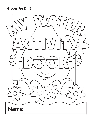```
Grades Pre-K – 2
```
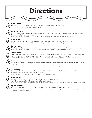| <b>Directions</b> |  |                                                                                                                     |  |
|-------------------|--|---------------------------------------------------------------------------------------------------------------------|--|
|                   |  | The activities in this book are designed to help children learn about important water resources education concepts. |  |



#### **Make a Word**

Ask the child to talk about each picture and identify its beginning letter. The words are Ask the child to combine the letters to spell w-a-t-e-r.

## **The Water Cycle**

The sun provides energy for the water cycle. Ask the child to talk about how water moves through the continuous cycle. Then ask the child to color the illustration.

Sunshine State Standards, Science SC.B.1.1: The student recognizes that energy may be changed in form with varying efficiency.



**2**

## **Water Is Life**

Talk about each picture. Ask the child to make a check mark next to the things that need water to live. Sunshine State Standards, Science SC.F.1.1: The student describes patterns of structure and function in living things.



#### **Save or Waste?**

Talk about the different examples of saving and wasting water. Ask the child to circle "save" or "waste" for each picture. Sunshine State Standards, Science SC.D.2.1: The student understands the need for protection of the natural systems on earth.



#### **Conservation**

Water conservation is the act of protecting our water from waste or loss. For each picture, ask the child to use the letters in c-o-n-s-e-r-v-a-t-i-o-n to make a smaller word. Answers: one, nose, car, ten, can, net, nest, note. Sunshine State Standards, Language Arts LA.K.1.7, LA.1.1.7, LA.2.1.7: The student uses a variety of strategies to comprehend grade level text.



## **Aquifer Maze**

The aquifer is a spongelike underground layer of rocks that can hold and release water. Ask the child to trace the path to the aquifer.

Sunshine State Standards, Mathematics MA.C.1.1: The student describes, draws, identifies and analyzes two- and three-dimensional shapes.



## **My Rainbow**

Sometimes when the sun comes out after it rains, a rainbow will appear in the sky. Describe a rainbow. Ask the child to connect the dots in order and then color the picture. Sunshine State Standards, Mathematics MA.A.2.1: The student understands number systems.



#### **Water Puzzle**

Talk about the different forms of water. Then ask the child to color the picture. Note: Complete pages 9 and 10 before cutting the puzzle pieces. Sunshine State Standards, Mathematics MA.C.2.1: The student visualizes and illustrates ways in which shapes can be combined, subdivided and changed.



## **My Water Puzzle**

Ask the child to draw and color a picture about water. Then cut the pieces to make two puzzles. Sunshine State Standards, Visual Arts VA.B.1.1: The student creates and communicates a range of subject matter, symbols and ideas using knowledge of structures and functions of visual arts.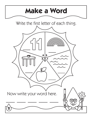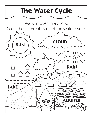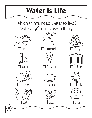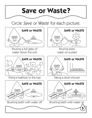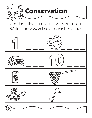

# Use the letters in c-o-n-s-e-r-v-a-t-i-o-n. Write a new word next to each picture.

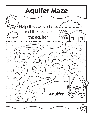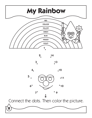

2 14

3 13

 $4.12$ 



Connect the dots. Then color the picture.

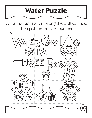